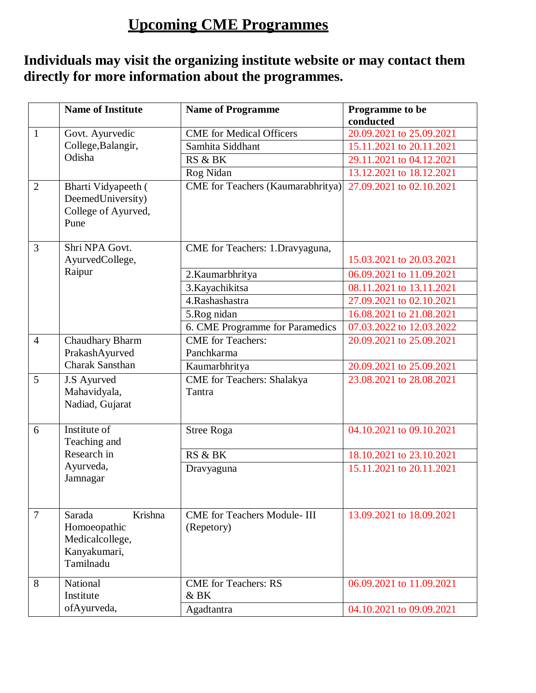## **Upcoming CME Programmes**

## **Individuals may visit the organizing institute website or may contact them directly for more information about the programmes.**

|                | <b>Name of Institute</b>                                                          | <b>Name of Programme</b>                          | Programme to be<br>conducted |
|----------------|-----------------------------------------------------------------------------------|---------------------------------------------------|------------------------------|
| $\mathbf{1}$   | Govt. Ayurvedic<br>College, Balangir,<br>Odisha                                   | <b>CME</b> for Medical Officers                   | 20.09.2021 to 25.09.2021     |
|                |                                                                                   | Samhita Siddhant                                  | 15.11.2021 to 20.11.2021     |
|                |                                                                                   | RS & BK                                           | 29.11.2021 to 04.12.2021     |
|                |                                                                                   | Rog Nidan                                         | 13.12.2021 to 18.12.2021     |
| $\overline{2}$ | Bharti Vidyapeeth (<br>DeemedUniversity)<br>College of Ayurved,<br>Pune           | CME for Teachers (Kaumarabhritya)                 | 27.09.2021 to 02.10.2021     |
| 3              | Shri NPA Govt.<br>AyurvedCollege,                                                 | CME for Teachers: 1.Dravyaguna,                   | 15.03.2021 to 20.03.2021     |
|                | Raipur                                                                            | 2. Kaumarbhritya                                  | 06.09.2021 to 11.09.2021     |
|                |                                                                                   | 3. Kayachikitsa                                   | 08.11.2021 to 13.11.2021     |
|                |                                                                                   | 4.Rashashastra                                    | 27.09.2021 to 02.10.2021     |
|                |                                                                                   | 5.Rog nidan                                       | 16.08.2021 to 21.08.2021     |
|                |                                                                                   | 6. CME Programme for Paramedics                   | 07.03.2022 to 12.03.2022     |
| $\overline{4}$ | Chaudhary Bharm<br>PrakashAyurved                                                 | <b>CME</b> for Teachers:<br>Panchkarma            | 20.09.2021 to 25.09.2021     |
|                | <b>Charak Sansthan</b>                                                            | Kaumarbhritya                                     | 20.09.2021 to 25.09.2021     |
| 5              | J.S Ayurved<br>Mahavidyala,<br>Nadiad, Gujarat                                    | <b>CME</b> for Teachers: Shalakya<br>Tantra       | 23.08.2021 to 28.08.2021     |
| 6              | Institute of<br>Teaching and                                                      | <b>Stree Roga</b>                                 | 04.10.2021 to 09.10.2021     |
|                | Research in                                                                       | RS & BK                                           | 18.10.2021 to 23.10.2021     |
|                | Ayurveda,<br>Jamnagar                                                             | Dravyaguna                                        | 15.11.2021 to 20.11.2021     |
| $\overline{7}$ | Krishna<br>Sarada<br>Homoeopathic<br>Medicalcollege,<br>Kanyakumari,<br>Tamilnadu | <b>CME</b> for Teachers Module- III<br>(Repetory) | 13.09.2021 to 18.09.2021     |
| 8              | National<br>Institute                                                             | <b>CME</b> for Teachers: RS<br>& BK               | 06.09.2021 to 11.09.2021     |
|                | ofAyurveda,                                                                       | Agadtantra                                        | 04.10.2021 to 09.09.2021     |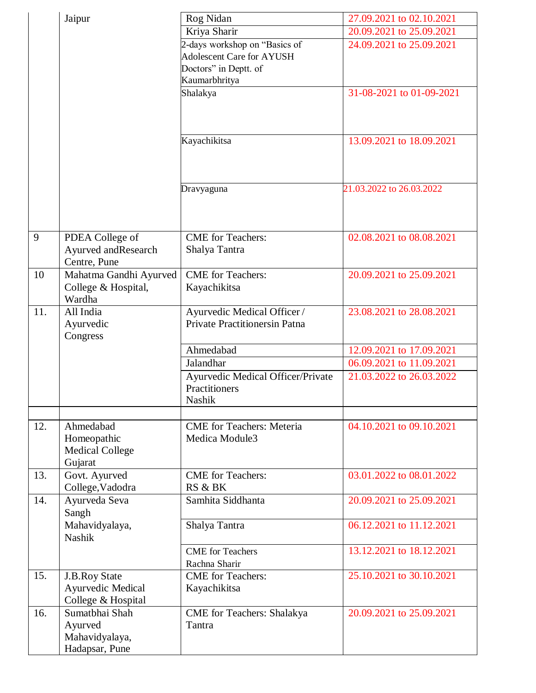|     | Jaipur                                | Rog Nidan                                          | 27.09.2021 to 02.10.2021 |
|-----|---------------------------------------|----------------------------------------------------|--------------------------|
|     |                                       | Kriya Sharir                                       | 20.09.2021 to 25.09.2021 |
|     |                                       | 2-days workshop on "Basics of                      | 24.09.2021 to 25.09.2021 |
|     |                                       | <b>Adolescent Care for AYUSH</b>                   |                          |
|     |                                       | Doctors" in Deptt. of                              |                          |
|     |                                       | Kaumarbhritya                                      |                          |
|     |                                       | Shalakya                                           | 31-08-2021 to 01-09-2021 |
|     |                                       |                                                    |                          |
|     |                                       |                                                    |                          |
|     |                                       |                                                    |                          |
|     |                                       | Kayachikitsa                                       | 13.09.2021 to 18.09.2021 |
|     |                                       |                                                    |                          |
|     |                                       |                                                    |                          |
|     |                                       | Dravyaguna                                         | 21.03.2022 to 26.03.2022 |
|     |                                       |                                                    |                          |
|     |                                       |                                                    |                          |
|     |                                       |                                                    |                          |
| 9   | PDEA College of                       | <b>CME</b> for Teachers:                           | 02.08.2021 to 08.08.2021 |
|     | Ayurved and Research                  | Shalya Tantra                                      |                          |
|     | Centre, Pune                          |                                                    |                          |
| 10  | Mahatma Gandhi Ayurved                | <b>CME</b> for Teachers:                           | 20.09.2021 to 25.09.2021 |
|     | College & Hospital,                   | Kayachikitsa                                       |                          |
|     | Wardha                                |                                                    |                          |
| 11. | All India                             | Ayurvedic Medical Officer /                        | 23.08.2021 to 28.08.2021 |
|     | Ayurvedic                             | Private Practitionersin Patna                      |                          |
|     | Congress                              |                                                    |                          |
|     |                                       | Ahmedabad                                          | 12.09.2021 to 17.09.2021 |
|     |                                       | Jalandhar                                          | 06.09.2021 to 11.09.2021 |
|     |                                       | Ayurvedic Medical Officer/Private                  | 21.03.2022 to 26.03.2022 |
|     |                                       | Practitioners                                      |                          |
|     |                                       | <b>Nashik</b>                                      |                          |
|     |                                       |                                                    |                          |
| 12. | Ahmedabad                             | <b>CME</b> for Teachers: Meteria<br>Medica Module3 | 04.10.2021 to 09.10.2021 |
|     | Homeopathic<br><b>Medical College</b> |                                                    |                          |
|     | Gujarat                               |                                                    |                          |
| 13. | Govt. Ayurved                         | <b>CME</b> for Teachers:                           | 03.01.2022 to 08.01.2022 |
|     | College, Vadodra                      | RS & BK                                            |                          |
| 14. | Ayurveda Seva                         | Samhita Siddhanta                                  | 20.09.2021 to 25.09.2021 |
|     | Sangh                                 |                                                    |                          |
|     | Mahavidyalaya,                        | Shalya Tantra                                      | 06.12.2021 to 11.12.2021 |
|     | <b>Nashik</b>                         |                                                    |                          |
|     |                                       | <b>CME</b> for Teachers                            | 13.12.2021 to 18.12.2021 |
|     |                                       | Rachna Sharir                                      |                          |
| 15. | J.B.Roy State                         | <b>CME</b> for Teachers:                           | 25.10.2021 to 30.10.2021 |
|     | Ayurvedic Medical                     | Kayachikitsa                                       |                          |
|     | College & Hospital                    |                                                    |                          |
| 16. | Sumatbhai Shah                        | <b>CME</b> for Teachers: Shalakya                  | 20.09.2021 to 25.09.2021 |
|     | Ayurved                               | Tantra                                             |                          |
|     | Mahavidyalaya,                        |                                                    |                          |
|     | Hadapsar, Pune                        |                                                    |                          |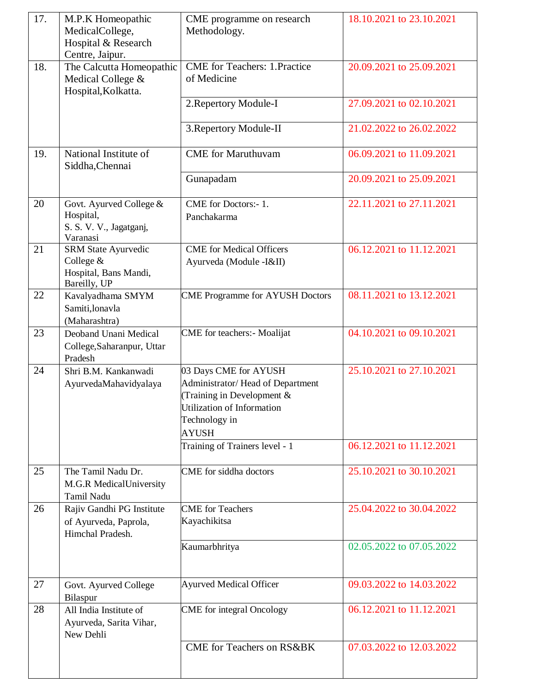| 17. | M.P.K Homeopathic<br>MedicalCollege,<br>Hospital & Research<br>Centre, Jaipur. | CME programme on research<br>Methodology.                                                                                                              | 18.10.2021 to 23.10.2021 |
|-----|--------------------------------------------------------------------------------|--------------------------------------------------------------------------------------------------------------------------------------------------------|--------------------------|
| 18. | The Calcutta Homeopathic<br>Medical College &<br>Hospital, Kolkatta.           | <b>CME</b> for Teachers: 1.Practice<br>of Medicine                                                                                                     | 20.09.2021 to 25.09.2021 |
|     |                                                                                | 2. Repertory Module-I                                                                                                                                  | 27.09.2021 to 02.10.2021 |
|     |                                                                                | 3. Repertory Module-II                                                                                                                                 | 21.02.2022 to 26.02.2022 |
| 19. | National Institute of<br>Siddha, Chennai                                       | <b>CME</b> for Maruthuvam                                                                                                                              | 06.09.2021 to 11.09.2021 |
|     |                                                                                | Gunapadam                                                                                                                                              | 20.09.2021 to 25.09.2021 |
| 20  | Govt. Ayurved College &<br>Hospital,<br>S. S. V. V., Jagatganj,<br>Varanasi    | CME for Doctors:- 1.<br>Panchakarma                                                                                                                    | 22.11.2021 to 27.11.2021 |
| 21  | SRM State Ayurvedic<br>College &<br>Hospital, Bans Mandi,<br>Bareilly, UP      | <b>CME</b> for Medical Officers<br>Ayurveda (Module - I&II)                                                                                            | 06.12.2021 to 11.12.2021 |
| 22  | Kavalyadhama SMYM<br>Samiti, lonavla<br>(Maharashtra)                          | <b>CME Programme for AYUSH Doctors</b>                                                                                                                 | 08.11.2021 to 13.12.2021 |
| 23  | Deoband Unani Medical<br>College, Saharanpur, Uttar<br>Pradesh                 | <b>CME</b> for teachers:- Moalijat                                                                                                                     | 04.10.2021 to 09.10.2021 |
| 24  | Shri B.M. Kankanwadi<br>AyurvedaMahavidyalaya                                  | 03 Days CME for AYUSH<br>Administrator/Head of Department<br>(Training in Development &<br>Utilization of Information<br>Technology in<br><b>AYUSH</b> | 25.10.2021 to 27.10.2021 |
|     |                                                                                | Training of Trainers level - 1                                                                                                                         | 06.12.2021 to 11.12.2021 |
| 25  | The Tamil Nadu Dr.<br>M.G.R MedicalUniversity<br>Tamil Nadu                    | CME for siddha doctors                                                                                                                                 | 25.10.2021 to 30.10.2021 |
| 26  | Rajiv Gandhi PG Institute<br>of Ayurveda, Paprola,<br>Himchal Pradesh.         | <b>CME</b> for Teachers<br>Kayachikitsa                                                                                                                | 25.04.2022 to 30.04.2022 |
|     |                                                                                | Kaumarbhritya                                                                                                                                          | 02.05.2022 to 07.05.2022 |
| 27  | Govt. Ayurved College<br>Bilaspur                                              | <b>Ayurved Medical Officer</b>                                                                                                                         | 09.03.2022 to 14.03.2022 |
| 28  | All India Institute of<br>Ayurveda, Sarita Vihar,<br>New Dehli                 | <b>CME</b> for integral Oncology                                                                                                                       | 06.12.2021 to 11.12.2021 |
|     |                                                                                | <b>CME</b> for Teachers on RS&BK                                                                                                                       | 07.03.2022 to 12.03.2022 |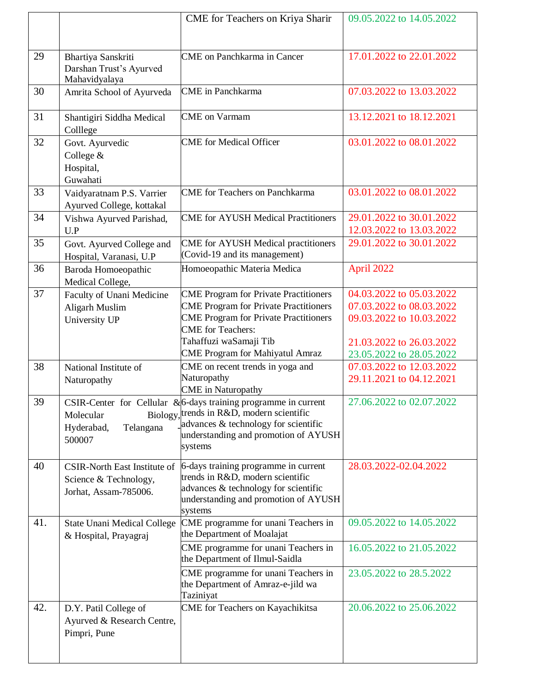|     |                                                                                       | CME for Teachers on Kriya Sharir                                                                                                                                                                                                             | 09.05.2022 to 14.05.2022                                                                                                                 |
|-----|---------------------------------------------------------------------------------------|----------------------------------------------------------------------------------------------------------------------------------------------------------------------------------------------------------------------------------------------|------------------------------------------------------------------------------------------------------------------------------------------|
| 29  | Bhartiya Sanskriti<br>Darshan Trust's Ayurved<br>Mahavidyalaya                        | <b>CME</b> on Panchkarma in Cancer                                                                                                                                                                                                           | 17.01.2022 to 22.01.2022                                                                                                                 |
| 30  | Amrita School of Ayurveda                                                             | <b>CME</b> in Panchkarma                                                                                                                                                                                                                     | 07.03.2022 to 13.03.2022                                                                                                                 |
| 31  | Shantigiri Siddha Medical<br>Colllege                                                 | <b>CME</b> on Varmam                                                                                                                                                                                                                         | 13.12.2021 to 18.12.2021                                                                                                                 |
| 32  | Govt. Ayurvedic<br>College &<br>Hospital,<br>Guwahati                                 | <b>CME</b> for Medical Officer                                                                                                                                                                                                               | 03.01.2022 to 08.01.2022                                                                                                                 |
| 33  | Vaidyaratnam P.S. Varrier<br>Ayurved College, kottakal                                | <b>CME</b> for Teachers on Panchkarma                                                                                                                                                                                                        | 03.01.2022 to 08.01.2022                                                                                                                 |
| 34  | Vishwa Ayurved Parishad,<br>U.P                                                       | <b>CME</b> for AYUSH Medical Practitioners                                                                                                                                                                                                   | 29.01.2022 to 30.01.2022<br>12.03.2022 to 13.03.2022                                                                                     |
| 35  | Govt. Ayurved College and<br>Hospital, Varanasi, U.P                                  | <b>CME</b> for AYUSH Medical practitioners<br>(Covid-19 and its management)                                                                                                                                                                  | 29.01.2022 to 30.01.2022                                                                                                                 |
| 36  | Baroda Homoeopathic<br>Medical College,                                               | Homoeopathic Materia Medica                                                                                                                                                                                                                  | April 2022                                                                                                                               |
| 37  | Faculty of Unani Medicine<br>Aligarh Muslim<br>University UP                          | <b>CME Program for Private Practitioners</b><br><b>CME Program for Private Practitioners</b><br><b>CME Program for Private Practitioners</b><br><b>CME</b> for Teachers:<br>Tahaffuzi waSamaji Tib<br><b>CME Program for Mahiyatul Amraz</b> | 04.03.2022 to 05.03.2022<br>07.03.2022 to 08.03.2022<br>09.03.2022 to 10.03.2022<br>21.03.2022 to 26.03.2022<br>23.05.2022 to 28.05.2022 |
| 38  | National Institute of<br>Naturopathy                                                  | CME on recent trends in yoga and<br>Naturopathy<br><b>CME</b> in Naturopathy                                                                                                                                                                 | 07.03.2022 to 12.03.2022<br>29.11.2021 to 04.12.2021                                                                                     |
| 39  | Molecular<br>Hyderabad,<br>Telangana<br>500007                                        | CSIR-Center for Cellular & 6-days training programme in current<br>Biology, trends in R&D, modern scientific<br>advances & technology for scientific<br>understanding and promotion of AYUSH<br>systems                                      | 27.06.2022 to 02.07.2022                                                                                                                 |
| 40  | <b>CSIR-North East Institute of</b><br>Science & Technology,<br>Jorhat, Assam-785006. | 6-days training programme in current<br>trends in R&D, modern scientific<br>advances & technology for scientific<br>understanding and promotion of AYUSH<br>systems                                                                          | 28.03.2022-02.04.2022                                                                                                                    |
| 41. | State Unani Medical College<br>& Hospital, Prayagraj                                  | CME programme for unani Teachers in<br>the Department of Moalajat                                                                                                                                                                            | 09.05.2022 to 14.05.2022                                                                                                                 |
|     |                                                                                       | CME programme for unani Teachers in<br>the Department of Ilmul-Saidla                                                                                                                                                                        | 16.05.2022 to 21.05.2022                                                                                                                 |
|     |                                                                                       | CME programme for unani Teachers in<br>the Department of Amraz-e-jild wa<br>Taziniyat                                                                                                                                                        | 23.05.2022 to 28.5.2022                                                                                                                  |
| 42. | D.Y. Patil College of<br>Ayurved & Research Centre,<br>Pimpri, Pune                   | CME for Teachers on Kayachikitsa                                                                                                                                                                                                             | 20.06.2022 to 25.06.2022                                                                                                                 |